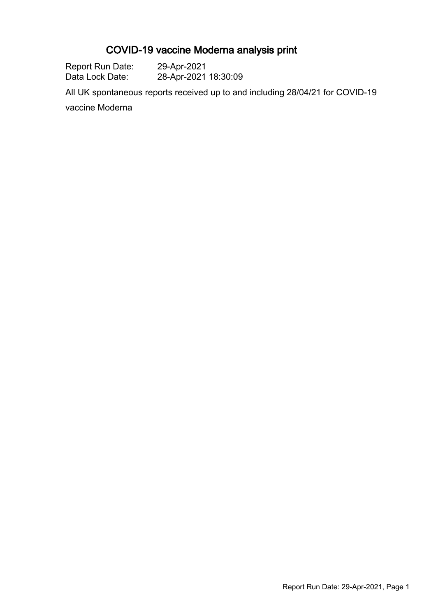# COVID-19 vaccine Moderna analysis print

| Report Run Date: | 29-Apr-2021          |
|------------------|----------------------|
| Data Lock Date:  | 28-Apr-2021 18:30:09 |

All UK spontaneous reports received up to and including 28/04/21 for COVID-19

vaccine Moderna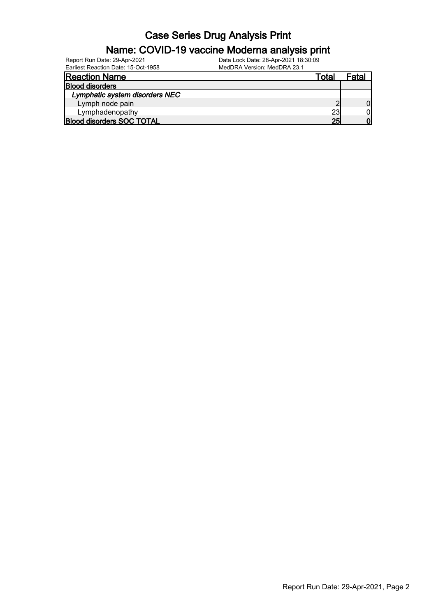| Report Run Date: 29-Apr-2021        | Data Lock Date: 28-Apr-2021 18:30:09 |                 |       |
|-------------------------------------|--------------------------------------|-----------------|-------|
| Earliest Reaction Date: 15-Oct-1958 | MedDRA Version: MedDRA 23.1          |                 |       |
| <b>Reaction Name</b>                |                                      | Total           | Fatal |
| <b>Blood disorders</b>              |                                      |                 |       |
| Lymphatic system disorders NEC      |                                      |                 |       |
| Lymph node pain                     |                                      |                 |       |
| Lymphadenopathy                     |                                      | 23              | ΟI    |
| <b>Blood disorders SOC TOTAL</b>    |                                      | 25 <sub>l</sub> | וח    |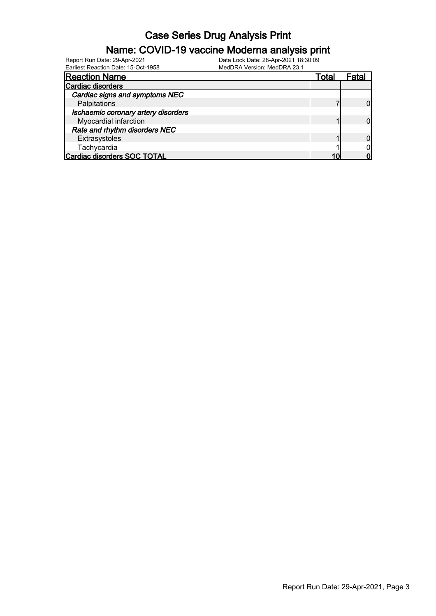#### Name: COVID-19 vaccine Moderna analysis print

| Earliest Reaction Date: 15-Oct-1958 | MedDRA Version: MedDRA 23.1 |       |       |
|-------------------------------------|-----------------------------|-------|-------|
| <b>Reaction Name</b>                |                             | Total | Fatal |
| <b>Cardiac disorders</b>            |                             |       |       |
| Cardiac signs and symptoms NEC      |                             |       |       |
| Palpitations                        |                             |       |       |
| Ischaemic coronary artery disorders |                             |       |       |
| Myocardial infarction               |                             |       |       |
| Rate and rhythm disorders NEC       |                             |       |       |
| Extrasystoles                       |                             |       |       |
| Tachycardia                         |                             |       |       |
| Cardiac disorders SOC TOTAL         |                             |       |       |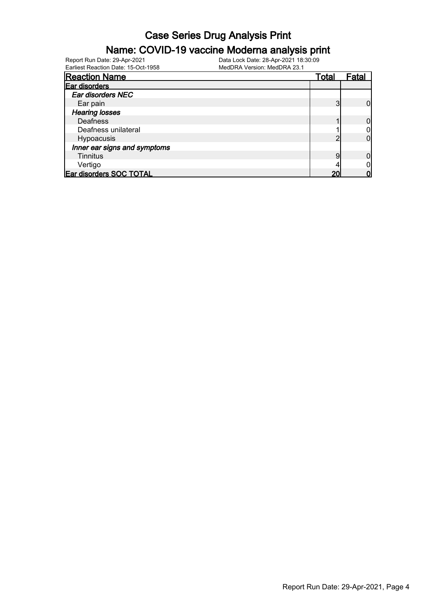#### Name: COVID-19 vaccine Moderna analysis print

| <b>Reaction Name</b>         | Total | Fatal |
|------------------------------|-------|-------|
| Ear disorders                |       |       |
| Ear disorders NEC            |       |       |
| Ear pain                     |       |       |
| <b>Hearing losses</b>        |       |       |
| <b>Deafness</b>              |       |       |
| Deafness unilateral          |       |       |
| Hypoacusis                   |       |       |
| Inner ear signs and symptoms |       |       |
| <b>Tinnitus</b>              |       |       |
| Vertigo                      |       |       |
| Ear disorders SOC TOTAL      | 20    |       |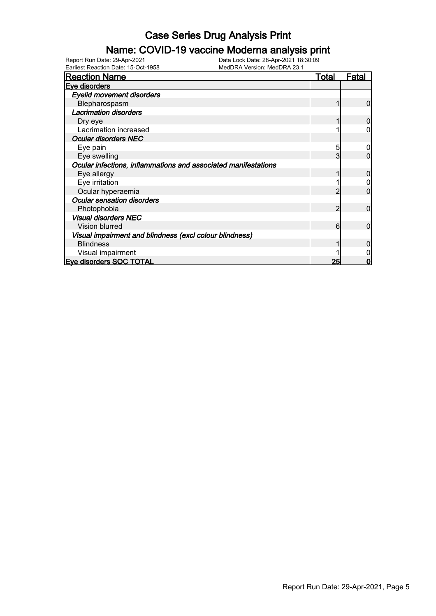#### Name: COVID-19 vaccine Moderna analysis print

| <b>Reaction Name</b>                                           | <b>Total</b> | Fatal |
|----------------------------------------------------------------|--------------|-------|
| Eve disorders                                                  |              |       |
| <b>Eyelid movement disorders</b>                               |              |       |
| Blepharospasm                                                  |              | O     |
| <b>Lacrimation disorders</b>                                   |              |       |
| Dry eye                                                        |              |       |
| Lacrimation increased                                          |              |       |
| <b>Ocular disorders NEC</b>                                    |              |       |
| Eye pain                                                       | 5            |       |
| Eye swelling                                                   | 3            |       |
| Ocular infections, inflammations and associated manifestations |              |       |
| Eye allergy                                                    |              |       |
| Eye irritation                                                 |              |       |
| Ocular hyperaemia                                              |              |       |
| <b>Ocular sensation disorders</b>                              |              |       |
| Photophobia                                                    | 2            | O     |
| <b>Visual disorders NEC</b>                                    |              |       |
| Vision blurred                                                 | 6            | 0     |
| Visual impairment and blindness (excl colour blindness)        |              |       |
| <b>Blindness</b>                                               |              |       |
| Visual impairment                                              |              |       |
| <b>Eve disorders SOC TOTAL</b>                                 | 25           | Ω     |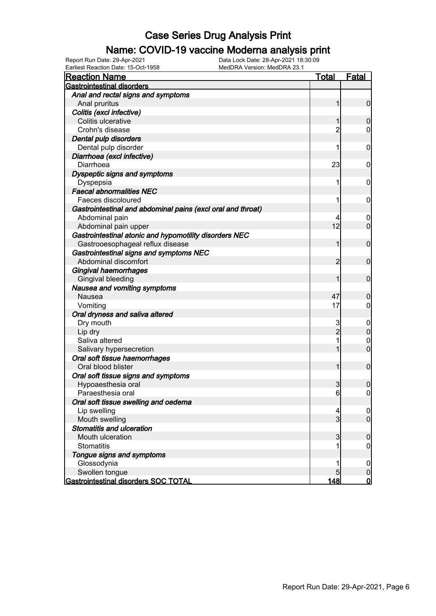#### Name: COVID-19 vaccine Moderna analysis print

| <b>Reaction Name</b>                                                        | Total          | <b>Fatal</b>     |
|-----------------------------------------------------------------------------|----------------|------------------|
| <b>Gastrointestinal disorders</b>                                           |                |                  |
| Anal and rectal signs and symptoms                                          |                |                  |
| Anal pruritus                                                               |                | 0                |
| Colitis (excl infective)                                                    |                |                  |
| Colitis ulcerative                                                          |                | 0                |
| Crohn's disease                                                             | 2              | 0                |
| Dental pulp disorders                                                       |                |                  |
| Dental pulp disorder                                                        | 1              | 0                |
| Diarrhoea (excl infective)                                                  |                |                  |
| Diarrhoea                                                                   | 23             | 0                |
| Dyspeptic signs and symptoms                                                |                |                  |
| Dyspepsia                                                                   | 1              | 0                |
| <b>Faecal abnormalities NEC</b>                                             |                |                  |
| Faeces discoloured                                                          | 1              | 0                |
| Gastrointestinal and abdominal pains (excl oral and throat)                 |                |                  |
| Abdominal pain                                                              | 12             | 0                |
| Abdominal pain upper                                                        |                | 0                |
| Gastrointestinal atonic and hypomotility disorders NEC                      |                | 0                |
| Gastrooesophageal reflux disease<br>Gastrointestinal signs and symptoms NEC |                |                  |
| Abdominal discomfort                                                        | 2              | 0                |
| Gingival haemorrhages                                                       |                |                  |
| Gingival bleeding                                                           |                | 0                |
| Nausea and vomiting symptoms                                                |                |                  |
| Nausea                                                                      | 47             | 0                |
| Vomiting                                                                    | 17             | 0                |
| Oral dryness and saliva altered                                             |                |                  |
| Dry mouth                                                                   | 3              | 0                |
| Lip dry                                                                     | $\overline{2}$ | 0                |
| Saliva altered                                                              |                | 0                |
| Salivary hypersecretion                                                     |                | 0                |
| Oral soft tissue haemorrhages                                               |                |                  |
| Oral blood blister                                                          |                | 0                |
| Oral soft tissue signs and symptoms                                         |                |                  |
| Hypoaesthesia oral                                                          | 3              | 0                |
| Paraesthesia oral                                                           | 6              | 0                |
| Oral soft tissue swelling and oedema                                        |                |                  |
| Lip swelling                                                                | 4              | $\overline{0}$   |
| Mouth swelling                                                              | 3              | $\overline{0}$   |
| <b>Stomatitis and ulceration</b>                                            |                |                  |
| Mouth ulceration                                                            | 3              | 0                |
| <b>Stomatitis</b>                                                           | 1              | 0                |
| Tongue signs and symptoms                                                   |                |                  |
| Glossodynia                                                                 |                | $\boldsymbol{0}$ |
| Swollen tongue                                                              | 5              | 0                |
| Gastrointestinal disorders SOC TOTAL                                        | 148            | $\overline{0}$   |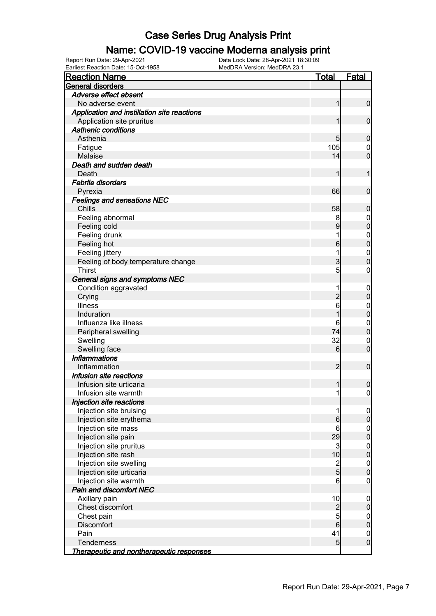#### Name: COVID-19 vaccine Moderna analysis print

| Earliest Reaction Date: 15-Oct-1958         | MedDRA Version: MedDRA 23.1 |                 |                  |
|---------------------------------------------|-----------------------------|-----------------|------------------|
| <b>Reaction Name</b>                        |                             | <u>Total</u>    | <b>Fatal</b>     |
| <b>General disorders</b>                    |                             |                 |                  |
| Adverse effect absent                       |                             |                 |                  |
| No adverse event                            |                             | $\mathbf{1}$    | $\mathbf 0$      |
| Application and instillation site reactions |                             |                 |                  |
| Application site pruritus                   |                             | 1               | $\boldsymbol{0}$ |
| <b>Asthenic conditions</b>                  |                             |                 |                  |
| Asthenia                                    |                             | 5               | $\mathbf 0$      |
| Fatigue                                     |                             | 105             | $\overline{0}$   |
| Malaise                                     |                             | 14              | $\overline{0}$   |
| Death and sudden death                      |                             |                 |                  |
| Death                                       |                             | 1               | 1                |
| <b>Febrile disorders</b>                    |                             |                 |                  |
| Pyrexia                                     |                             | 66              | $\boldsymbol{0}$ |
| <b>Feelings and sensations NEC</b>          |                             |                 |                  |
| Chills                                      |                             | 58              | $\mathbf 0$      |
| Feeling abnormal                            |                             | 8               | $\boldsymbol{0}$ |
| Feeling cold                                |                             | 9               | $\mathbf 0$      |
| Feeling drunk                               |                             | 1               | $\boldsymbol{0}$ |
| Feeling hot                                 |                             | 6               | $\mathbf 0$      |
| Feeling jittery                             |                             | 1               | $\boldsymbol{0}$ |
| Feeling of body temperature change          |                             | 3               | $\mathbf 0$      |
| <b>Thirst</b>                               |                             | $\overline{5}$  | $\boldsymbol{0}$ |
| General signs and symptoms NEC              |                             |                 |                  |
| Condition aggravated                        |                             | 1               | $\mathbf 0$      |
| Crying                                      |                             | $\overline{c}$  | $\pmb{0}$        |
| Illness                                     |                             | 6               | $\boldsymbol{0}$ |
| Induration                                  |                             | 1               | $\mathbf 0$      |
| Influenza like illness                      |                             | 6               | $\boldsymbol{0}$ |
| Peripheral swelling                         |                             | 74              | $\mathbf 0$      |
| Swelling                                    |                             | 32              | $\mathbf 0$      |
| Swelling face                               |                             | $6 \overline{}$ | $\boldsymbol{0}$ |
| <b>Inflammations</b>                        |                             |                 |                  |
| Inflammation                                |                             | $\overline{2}$  | $\boldsymbol{0}$ |
| Infusion site reactions                     |                             |                 |                  |
| Infusion site urticaria                     |                             | $\mathbf{1}$    | $\boldsymbol{0}$ |
| Infusion site warmth                        |                             | $\mathbf{1}$    | $\overline{0}$   |
| Injection site reactions                    |                             |                 |                  |
| Injection site bruising                     |                             | 1               | $\overline{0}$   |
| Injection site erythema                     |                             | $6\phantom{.0}$ | $\pmb{0}$        |
| Injection site mass                         |                             | 6               | $\mathbf 0$      |
| Injection site pain                         |                             | 29              | $\overline{0}$   |
| Injection site pruritus                     |                             | $\mathbf{3}$    | $\boldsymbol{0}$ |
| Injection site rash                         |                             | 10              | $\overline{0}$   |
| Injection site swelling                     |                             |                 | $\mathbf{0}$     |
| Injection site urticaria                    |                             | $\frac{2}{5}$   | $\mathbf 0$      |
| Injection site warmth                       |                             | 6               | $\overline{0}$   |
| Pain and discomfort NEC                     |                             |                 |                  |
| Axillary pain                               |                             | 10              | $\mathbf 0$      |
| Chest discomfort                            |                             | $\overline{c}$  | $\boldsymbol{0}$ |
| Chest pain                                  |                             | $\overline{5}$  | $\overline{0}$   |
| Discomfort                                  |                             | $6\overline{6}$ | $\mathbf 0$      |
| Pain                                        |                             | 41              | $\mathbf 0$      |
| Tenderness                                  |                             | 5 <sub>5</sub>  | $\overline{0}$   |
| Therapeutic and nontherapeutic responses    |                             |                 |                  |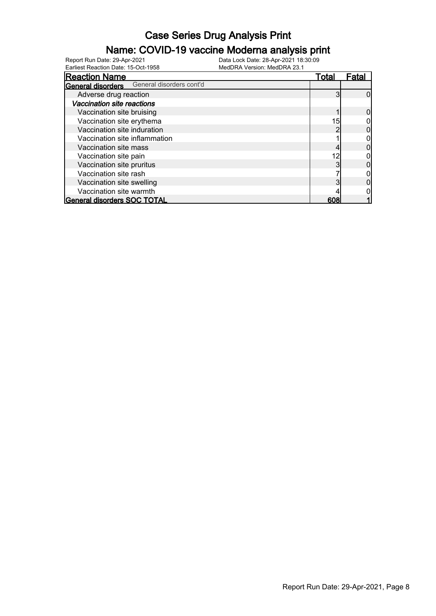#### Name: COVID-19 vaccine Moderna analysis print

Earliest Reaction Date: 15-Oct-1958 MedDRA Version: MedDRA 23.1

| <b>Reaction Name</b>                                 | <u>Total</u> | Fatal |
|------------------------------------------------------|--------------|-------|
| General disorders cont'd<br><b>General disorders</b> |              |       |
| Adverse drug reaction                                |              |       |
| Vaccination site reactions                           |              |       |
| Vaccination site bruising                            |              |       |
| Vaccination site erythema                            | 15           |       |
| Vaccination site induration                          |              |       |
| Vaccination site inflammation                        |              |       |
| Vaccination site mass                                |              |       |
| Vaccination site pain                                | 12           |       |
| Vaccination site pruritus                            |              |       |
| Vaccination site rash                                |              |       |
| Vaccination site swelling                            |              |       |
| Vaccination site warmth                              |              |       |
| <b>General disorders SOC TOTAL</b>                   | 608          |       |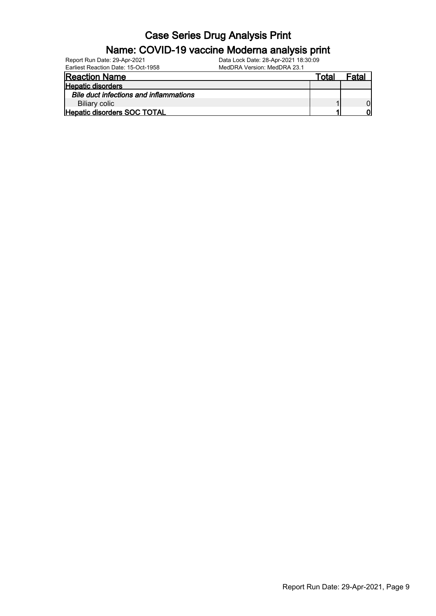| Report Run Date: 29-Apr-2021                  | Data Lock Date: 28-Apr-2021 18:30:09 |       |       |
|-----------------------------------------------|--------------------------------------|-------|-------|
| Earliest Reaction Date: 15-Oct-1958           | MedDRA Version: MedDRA 23.1          |       |       |
| <b>Reaction Name</b>                          |                                      | Total | Fatal |
| <b>Hepatic disorders</b>                      |                                      |       |       |
| <b>Bile duct infections and inflammations</b> |                                      |       |       |
| Biliary colic                                 |                                      |       |       |
| <b>Hepatic disorders SOC TOTAL</b>            |                                      |       | וח    |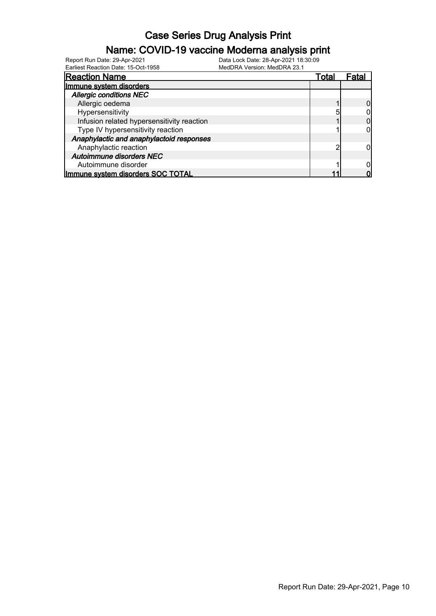#### Name: COVID-19 vaccine Moderna analysis print

| <b>Reaction Name</b>                       | Total |  |
|--------------------------------------------|-------|--|
| Immune system disorders                    |       |  |
| <b>Allergic conditions NEC</b>             |       |  |
| Allergic oedema                            |       |  |
| Hypersensitivity                           |       |  |
| Infusion related hypersensitivity reaction |       |  |
| Type IV hypersensitivity reaction          |       |  |
| Anaphylactic and anaphylactoid responses   |       |  |
| Anaphylactic reaction                      |       |  |
| Autoimmune disorders NEC                   |       |  |
| Autoimmune disorder                        |       |  |
| Immune system disorders SOC TOTAL          |       |  |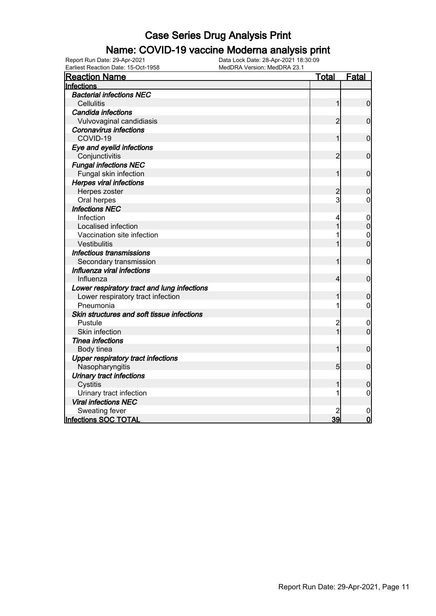#### Name: COVID-19 vaccine Moderna analysis print

| <b>Reaction Name</b>                        | <b>Total</b>   | <b>Fatal</b>     |
|---------------------------------------------|----------------|------------------|
| Infections                                  |                |                  |
| <b>Bacterial infections NEC</b>             |                |                  |
| <b>Cellulitis</b>                           | 1              | $\mathbf 0$      |
| <b>Candida infections</b>                   |                |                  |
| Vulvovaginal candidiasis                    | $\overline{2}$ | $\mathbf 0$      |
| <b>Coronavirus infections</b>               |                |                  |
| COVID-19                                    | 1              | $\mathbf 0$      |
| Eye and eyelid infections                   |                |                  |
| Conjunctivitis                              | 2              | $\mathbf 0$      |
| <b>Fungal infections NEC</b>                |                |                  |
| Fungal skin infection                       | 1              | $\mathbf 0$      |
| <b>Herpes viral infections</b>              |                |                  |
| Herpes zoster                               | $\overline{c}$ | $\mathbf 0$      |
| Oral herpes                                 | 3              | 0                |
| <b>Infections NEC</b>                       |                |                  |
| Infection                                   |                | $\mathbf 0$      |
| Localised infection                         |                | $\mathbf 0$      |
| Vaccination site infection                  |                | $\mathbf 0$      |
| Vestibulitis                                |                | $\overline{0}$   |
| Infectious transmissions                    |                |                  |
| Secondary transmission                      |                | $\mathbf 0$      |
| Influenza viral infections                  |                |                  |
| Influenza                                   | 4              | $\mathbf 0$      |
| Lower respiratory tract and lung infections |                |                  |
| Lower respiratory tract infection           |                | $\mathbf 0$      |
| Pneumonia                                   | 1              | 0                |
| Skin structures and soft tissue infections  |                |                  |
| Pustule                                     | $\overline{c}$ | 0                |
| Skin infection                              | $\overline{1}$ | $\overline{0}$   |
| <b>Tinea infections</b>                     |                |                  |
| Body tinea                                  | 1              | $\mathbf 0$      |
| <b>Upper respiratory tract infections</b>   |                |                  |
| Nasopharyngitis                             | 5              | $\mathbf 0$      |
| <b>Urinary tract infections</b>             |                |                  |
| Cystitis                                    |                | $\boldsymbol{0}$ |
| Urinary tract infection                     |                | 0                |
| <b>Viral infections NEC</b>                 |                |                  |
| Sweating fever                              |                | $\mathbf 0$      |
| Infections SOC TOTAL                        | 39             | $\mathbf 0$      |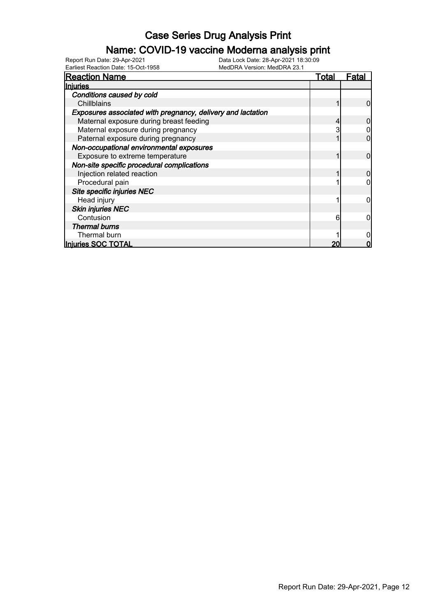#### Name: COVID-19 vaccine Moderna analysis print

| <b>Reaction Name</b>                                        | Total | Fata |
|-------------------------------------------------------------|-------|------|
| Injuries                                                    |       |      |
| Conditions caused by cold                                   |       |      |
| Chillblains                                                 |       |      |
| Exposures associated with pregnancy, delivery and lactation |       |      |
| Maternal exposure during breast feeding                     |       |      |
| Maternal exposure during pregnancy                          |       |      |
| Paternal exposure during pregnancy                          |       |      |
| Non-occupational environmental exposures                    |       |      |
| Exposure to extreme temperature                             |       |      |
| Non-site specific procedural complications                  |       |      |
| Injection related reaction                                  |       |      |
| Procedural pain                                             |       |      |
| Site specific injuries NEC                                  |       |      |
| Head injury                                                 |       |      |
| <b>Skin injuries NEC</b>                                    |       |      |
| Contusion                                                   | 6     |      |
| <b>Thermal burns</b>                                        |       |      |
| Thermal burn                                                |       |      |
| Injuries SOC TOTAL                                          |       |      |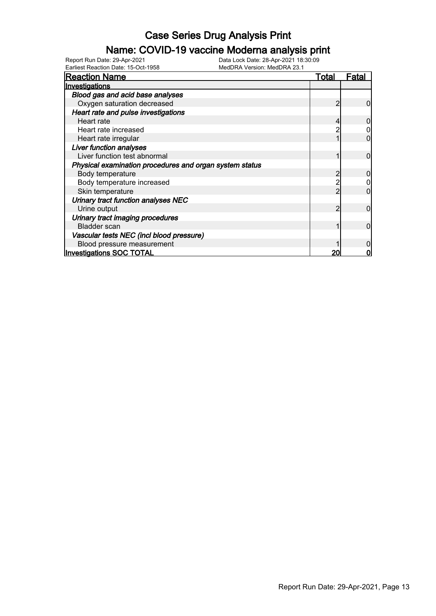#### Name: COVID-19 vaccine Moderna analysis print

| <b>Reaction Name</b>                                    | Total | <u>Fatal</u> |
|---------------------------------------------------------|-------|--------------|
| Investigations                                          |       |              |
| Blood gas and acid base analyses                        |       |              |
| Oxygen saturation decreased                             |       |              |
| Heart rate and pulse investigations                     |       |              |
| Heart rate                                              |       |              |
| Heart rate increased                                    |       |              |
| Heart rate irregular                                    |       |              |
| <b>Liver function analyses</b>                          |       |              |
| Liver function test abnormal                            |       |              |
| Physical examination procedures and organ system status |       |              |
| Body temperature                                        |       |              |
| Body temperature increased                              |       |              |
| Skin temperature                                        |       |              |
| Urinary tract function analyses NEC                     |       |              |
| Urine output                                            |       |              |
| Urinary tract imaging procedures                        |       |              |
| <b>Bladder</b> scan                                     |       | O            |
| Vascular tests NEC (incl blood pressure)                |       |              |
| Blood pressure measurement                              |       |              |
| <b>Investigations SOC TOTAL</b>                         |       |              |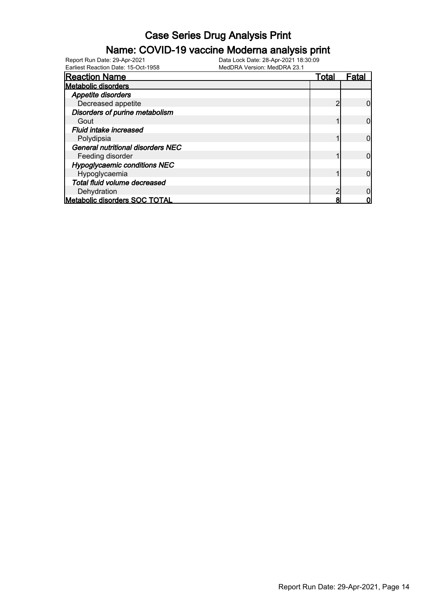#### Name: COVID-19 vaccine Moderna analysis print

Earliest Reaction Date: 15-Oct-1958 MedDRA Version: MedDRA 23.1

| <b>Reaction Name</b>                     | Total | Fatal |
|------------------------------------------|-------|-------|
| <b>Metabolic disorders</b>               |       |       |
| Appetite disorders                       |       |       |
| Decreased appetite                       |       |       |
| Disorders of purine metabolism           |       |       |
| Gout                                     |       |       |
| <b>Fluid intake increased</b>            |       |       |
| Polydipsia                               |       |       |
| <b>General nutritional disorders NEC</b> |       |       |
| Feeding disorder                         |       |       |
| <b>Hypoglycaemic conditions NEC</b>      |       |       |
| Hypoglycaemia                            |       |       |
| Total fluid volume decreased             |       |       |
| Dehydration                              |       |       |
| <b>Metabolic disorders SOC TOTAL</b>     |       |       |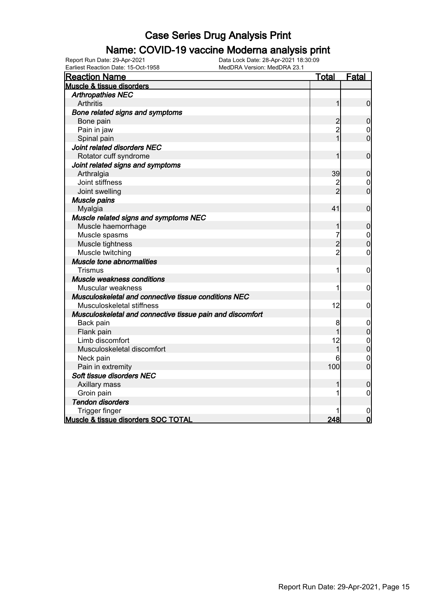#### Name: COVID-19 vaccine Moderna analysis print

| <b>Reaction Name</b>                                      | <u>Total</u>   | <b>Fatal</b>     |
|-----------------------------------------------------------|----------------|------------------|
| Muscle & tissue disorders                                 |                |                  |
| <b>Arthropathies NEC</b>                                  |                |                  |
| <b>Arthritis</b>                                          | 1              | $\overline{0}$   |
| Bone related signs and symptoms                           |                |                  |
| Bone pain                                                 | $\overline{c}$ | $\boldsymbol{0}$ |
| Pain in jaw                                               | $\overline{2}$ | $\boldsymbol{0}$ |
| Spinal pain                                               | $\overline{1}$ | $\overline{0}$   |
| Joint related disorders NEC                               |                |                  |
| Rotator cuff syndrome                                     | 1              | $\mathbf 0$      |
| Joint related signs and symptoms                          |                |                  |
| Arthralgia                                                | 39             | $\boldsymbol{0}$ |
| Joint stiffness                                           |                | 0                |
| Joint swelling                                            | $\overline{2}$ | $\mathbf 0$      |
| Muscle pains                                              |                |                  |
| Myalgia                                                   | 41             | $\mathbf 0$      |
| Muscle related signs and symptoms NEC                     |                |                  |
| Muscle haemorrhage                                        | 1              | $\mathbf 0$      |
| Muscle spasms                                             |                | $\mathbf 0$      |
| Muscle tightness                                          | $\overline{c}$ | $\overline{0}$   |
| Muscle twitching                                          | $\overline{2}$ | 0                |
| Muscle tone abnormalities                                 |                |                  |
| <b>Trismus</b>                                            | 1              | 0                |
| <b>Muscle weakness conditions</b>                         |                |                  |
| Muscular weakness                                         | 1              | $\mathbf 0$      |
| Musculoskeletal and connective tissue conditions NEC      |                |                  |
| Musculoskeletal stiffness                                 | 12             | $\boldsymbol{0}$ |
| Musculoskeletal and connective tissue pain and discomfort |                |                  |
| Back pain                                                 | 8              | 0                |
| Flank pain                                                | 1              | $\overline{0}$   |
| Limb discomfort                                           | 12             | $\mathbf 0$      |
| Musculoskeletal discomfort                                | 1              | $\overline{0}$   |
| Neck pain                                                 | 6              | $\mathbf 0$      |
| Pain in extremity                                         | 100            | $\overline{0}$   |
| Soft tissue disorders NEC                                 |                |                  |
| Axillary mass                                             |                | $\mathbf 0$      |
| Groin pain                                                |                | $\mathbf 0$      |
| <b>Tendon disorders</b>                                   |                |                  |
| Trigger finger                                            |                | $\mathbf 0$      |
| Muscle & tissue disorders SOC TOTAL                       | 248            | $\overline{0}$   |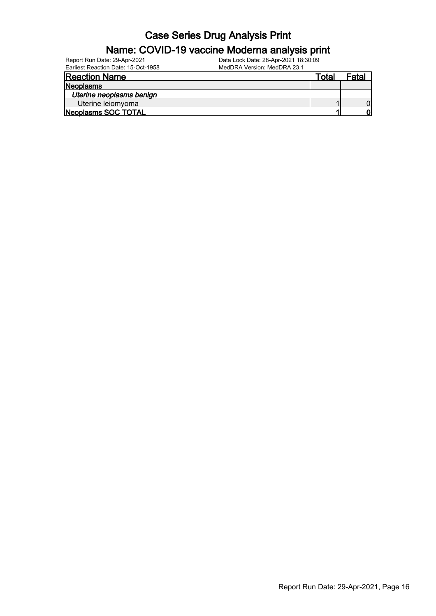| Report Run Date: 29-Apr-2021        | Data Lock Date: 28-Apr-2021 18:30:09 |       |       |
|-------------------------------------|--------------------------------------|-------|-------|
| Earliest Reaction Date: 15-Oct-1958 | MedDRA Version: MedDRA 23.1          |       |       |
| <b>Reaction Name</b>                |                                      | Total | Fatal |
| Neoplasms                           |                                      |       |       |
| Uterine neoplasms benign            |                                      |       |       |
| Uterine leiomyoma                   |                                      |       |       |
| Neoplasms SOC TOTAL                 |                                      |       | וח    |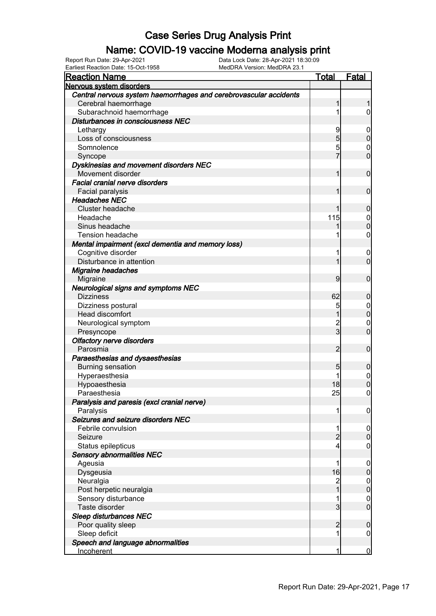#### Name: COVID-19 vaccine Moderna analysis print

| <b>Reaction Name</b>                                              | <u>Total</u>   | Fatal                           |
|-------------------------------------------------------------------|----------------|---------------------------------|
| Nervous system disorders                                          |                |                                 |
| Central nervous system haemorrhages and cerebrovascular accidents |                |                                 |
| Cerebral haemorrhage                                              | 1              |                                 |
| Subarachnoid haemorrhage                                          | 1              | $\overline{0}$                  |
| Disturbances in consciousness NEC                                 |                |                                 |
| Lethargy                                                          | 9              | $\mathbf 0$                     |
| Loss of consciousness                                             | 5              | $\mathbf 0$                     |
| Somnolence                                                        | 5              | $\mathbf 0$                     |
| Syncope                                                           | $\overline{7}$ | $\overline{0}$                  |
| Dyskinesias and movement disorders NEC                            |                |                                 |
| Movement disorder                                                 | 1              | $\mathbf 0$                     |
| <b>Facial cranial nerve disorders</b>                             |                |                                 |
| Facial paralysis                                                  | 1              | $\mathbf 0$                     |
| <b>Headaches NEC</b>                                              |                |                                 |
| Cluster headache                                                  | 1              | $\boldsymbol{0}$                |
| Headache                                                          | 115            | $\mathbf 0$                     |
| Sinus headache                                                    |                | $\mathbf 0$                     |
| <b>Tension headache</b>                                           |                | $\mathbf 0$                     |
| Mental impairment (excl dementia and memory loss)                 |                |                                 |
| Cognitive disorder                                                |                | $\mathbf 0$                     |
| Disturbance in attention                                          | 1              | $\mathbf 0$                     |
| Migraine headaches                                                |                |                                 |
| Migraine                                                          | 9              | $\mathbf 0$                     |
| <b>Neurological signs and symptoms NEC</b>                        |                |                                 |
| <b>Dizziness</b>                                                  | 62             | $\boldsymbol{0}$                |
| Dizziness postural                                                | 5              | $\mathbf 0$                     |
| Head discomfort                                                   | 1              | $\mathbf 0$                     |
| Neurological symptom                                              |                | $\mathbf 0$                     |
| Presyncope                                                        | $\frac{2}{3}$  | $\overline{0}$                  |
| <b>Olfactory nerve disorders</b>                                  |                |                                 |
| Parosmia                                                          | 2              | $\mathbf 0$                     |
| Paraesthesias and dysaesthesias                                   |                |                                 |
| <b>Burning sensation</b>                                          | 5              | $\boldsymbol{0}$                |
| Hyperaesthesia                                                    |                | $\boldsymbol{0}$                |
| Hypoaesthesia                                                     | 18             | $\overline{0}$                  |
| Paraesthesia                                                      | 25             | $\mathbf 0$                     |
| Paralysis and paresis (excl cranial nerve)                        |                |                                 |
| Paralysis                                                         | 1              | $\mathbf 0$                     |
| Seizures and seizure disorders NEC                                |                |                                 |
| Febrile convulsion                                                | 1              | $\mathbf 0$                     |
| Seizure                                                           | $\overline{2}$ | $\pmb{0}$                       |
| Status epilepticus                                                | 4              | $\mathbf 0$                     |
| <b>Sensory abnormalities NEC</b>                                  |                |                                 |
| Ageusia                                                           | 1              | $\mathbf 0$                     |
| Dysgeusia                                                         | 16             | $\pmb{0}$                       |
| Neuralgia                                                         | $\overline{c}$ |                                 |
| Post herpetic neuralgia                                           | $\overline{1}$ | $\boldsymbol{0}$<br>$\mathbf 0$ |
| Sensory disturbance                                               | 1              | $\mathbf 0$                     |
| Taste disorder                                                    | $\overline{3}$ | $\mathbf 0$                     |
| <b>Sleep disturbances NEC</b>                                     |                |                                 |
| Poor quality sleep                                                | $\overline{c}$ |                                 |
| Sleep deficit                                                     | 1              | $\boldsymbol{0}$                |
| Speech and language abnormalities                                 |                | $\boldsymbol{0}$                |
| Incoherent                                                        | 1              | $\bf{0}$                        |
|                                                                   |                |                                 |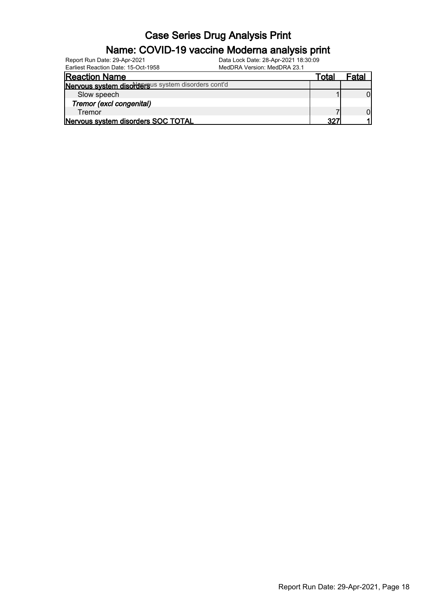| Report Run Date: 29-Apr-2021                       | Data Lock Date: 28-Apr-2021 18:30:09 |       |       |
|----------------------------------------------------|--------------------------------------|-------|-------|
| Earliest Reaction Date: 15-Oct-1958                | MedDRA Version: MedDRA 23.1          |       |       |
| <b>Reaction Name</b>                               |                                      | Total | Fatal |
| Nervous system disordersus system disorders cont'd |                                      |       |       |
| Slow speech                                        |                                      |       |       |
| Tremor (excl congenital)                           |                                      |       |       |
| Tremor                                             |                                      |       |       |
| Nervous system disorders SOC TOTAL                 |                                      | 327   |       |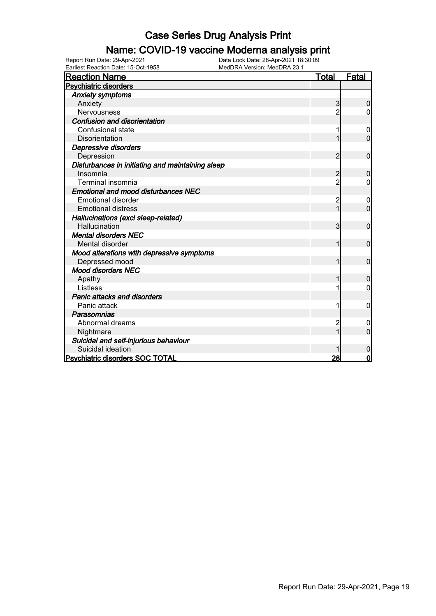#### Name: COVID-19 vaccine Moderna analysis print

| <b>Reaction Name</b>                             | <b>Total</b>   | <b>Fatal</b>   |
|--------------------------------------------------|----------------|----------------|
| <b>Psychiatric disorders</b>                     |                |                |
| <b>Anxiety symptoms</b>                          |                |                |
| Anxiety                                          | 3              | $\mathbf 0$    |
| Nervousness                                      | $\overline{2}$ | 0              |
| <b>Confusion and disorientation</b>              |                |                |
| Confusional state                                |                | 0              |
| <b>Disorientation</b>                            |                | $\Omega$       |
| Depressive disorders                             |                |                |
| Depression                                       | $\overline{2}$ | $\mathbf 0$    |
| Disturbances in initiating and maintaining sleep |                |                |
| Insomnia                                         | 2              | 0              |
| Terminal insomnia                                | $\overline{2}$ | 0              |
| <b>Emotional and mood disturbances NEC</b>       |                |                |
| <b>Emotional disorder</b>                        | 2              | 0              |
| <b>Emotional distress</b>                        |                | $\overline{0}$ |
| Hallucinations (excl sleep-related)              |                |                |
| <b>Hallucination</b>                             | 3              | $\mathbf 0$    |
| <b>Mental disorders NEC</b>                      |                |                |
| Mental disorder                                  | 1              | $\mathbf 0$    |
| Mood alterations with depressive symptoms        |                |                |
| Depressed mood                                   | 1              | $\mathbf 0$    |
| <b>Mood disorders NEC</b>                        |                |                |
| Apathy                                           |                | $\mathbf 0$    |
| Listless                                         |                | 0              |
| Panic attacks and disorders                      |                |                |
| Panic attack                                     |                | $\mathbf 0$    |
| Parasomnias                                      |                |                |
| Abnormal dreams                                  |                | 0              |
| Nightmare                                        |                | $\Omega$       |
| Suicidal and self-injurious behaviour            |                |                |
| Suicidal ideation                                |                | $\mathbf 0$    |
| Psychiatric disorders SOC TOTAL                  | 28             | 0              |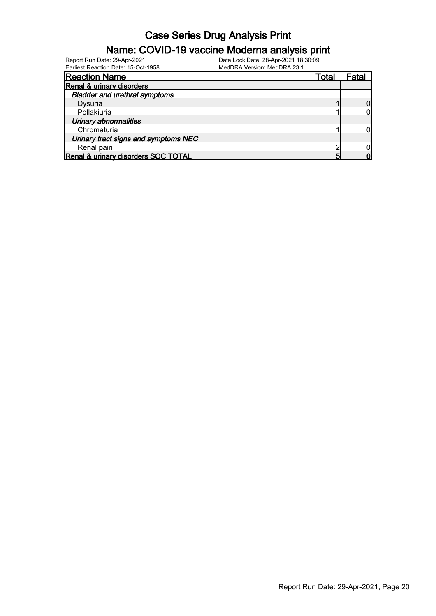#### Name: COVID-19 vaccine Moderna analysis print

| <b>Reaction Name</b>                 | Total | Fatal |
|--------------------------------------|-------|-------|
| Renal & urinary disorders            |       |       |
| <b>Bladder and urethral symptoms</b> |       |       |
| Dysuria                              |       |       |
| Pollakiuria                          |       |       |
| Urinary abnormalities                |       |       |
| Chromaturia                          |       |       |
| Urinary tract signs and symptoms NEC |       |       |
| Renal pain                           |       |       |
| Renal & urinary disorders SOC TOTAL  |       |       |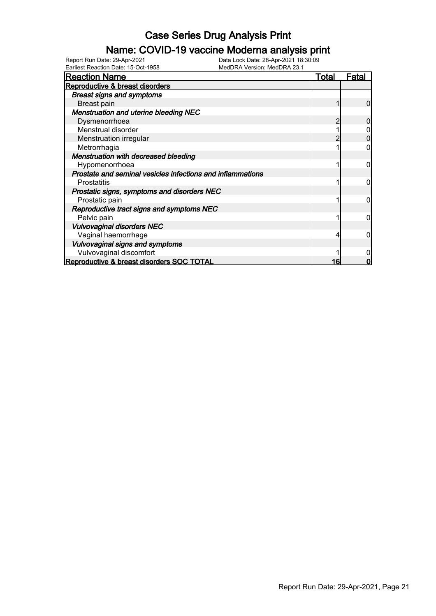#### Name: COVID-19 vaccine Moderna analysis print

| <b>Reaction Name</b>                                       | <u>Total</u> | <b>Fatal</b> |
|------------------------------------------------------------|--------------|--------------|
| Reproductive & breast disorders                            |              |              |
| <b>Breast signs and symptoms</b>                           |              |              |
| Breast pain                                                |              |              |
| <b>Menstruation and uterine bleeding NEC</b>               |              |              |
| Dysmenorrhoea                                              |              |              |
| Menstrual disorder                                         |              |              |
| Menstruation irregular                                     |              |              |
| Metrorrhagia                                               |              |              |
| <b>Menstruation with decreased bleeding</b>                |              |              |
| Hypomenorrhoea                                             |              |              |
| Prostate and seminal vesicles infections and inflammations |              |              |
| Prostatitis                                                |              | 0            |
| Prostatic signs, symptoms and disorders NEC                |              |              |
| Prostatic pain                                             |              | 0            |
| Reproductive tract signs and symptoms NEC                  |              |              |
| Pelvic pain                                                |              | ი            |
| <b>Vulvovaginal disorders NEC</b>                          |              |              |
| Vaginal haemorrhage                                        |              |              |
| Vulvovaginal signs and symptoms                            |              |              |
| Vulvovaginal discomfort                                    |              |              |
| Reproductive & breast disorders SOC TOTAL                  | 16           |              |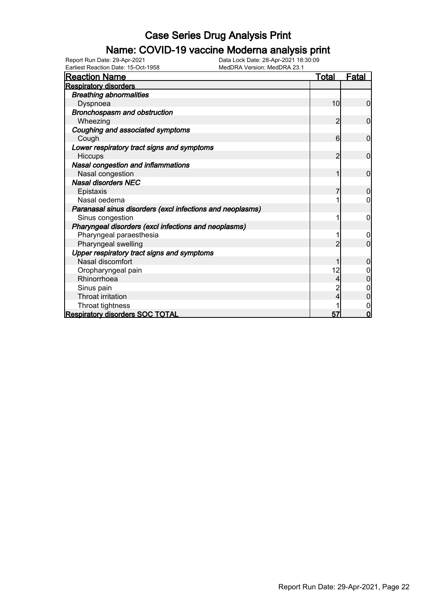#### Name: COVID-19 vaccine Moderna analysis print

| Earliest Reaction Date: 15-Oct-1958                       | MedDRA Version: MedDRA 23.1 |              |                |
|-----------------------------------------------------------|-----------------------------|--------------|----------------|
| <b>Reaction Name</b>                                      |                             | <u>Total</u> | <u>Fatal</u>   |
| <b>Respiratory disorders</b>                              |                             |              |                |
| <b>Breathing abnormalities</b>                            |                             |              |                |
| Dyspnoea                                                  |                             | 10           | $\overline{0}$ |
| Bronchospasm and obstruction                              |                             |              |                |
| Wheezing                                                  |                             | 2            | $\mathbf 0$    |
| Coughing and associated symptoms                          |                             |              |                |
| Cough                                                     |                             | 6            | $\mathbf 0$    |
| Lower respiratory tract signs and symptoms                |                             |              |                |
| Hiccups                                                   |                             | 2            | $\mathbf 0$    |
| Nasal congestion and inflammations                        |                             |              |                |
| Nasal congestion                                          |                             | 1            | $\mathbf 0$    |
| <b>Nasal disorders NEC</b>                                |                             |              |                |
| Epistaxis                                                 |                             | 7            | $\overline{0}$ |
| Nasal oedema                                              |                             |              | 0              |
| Paranasal sinus disorders (excl infections and neoplasms) |                             |              |                |
| Sinus congestion                                          |                             |              | 0              |
| Pharyngeal disorders (excl infections and neoplasms)      |                             |              |                |
| Pharyngeal paraesthesia                                   |                             |              | 0              |
| Pharyngeal swelling                                       |                             | 2            | $\mathbf{0}$   |
| Upper respiratory tract signs and symptoms                |                             |              |                |
| Nasal discomfort                                          |                             |              | 0              |
| Oropharyngeal pain                                        |                             | 12           |                |
| Rhinorrhoea                                               |                             | 4            | $\Omega$       |
| Sinus pain                                                |                             |              |                |
| <b>Throat irritation</b>                                  |                             | 4            | 0              |
| Throat tightness                                          |                             |              | 0              |
| <b>Respiratory disorders SOC TOTAL</b>                    |                             | 57           | $\overline{0}$ |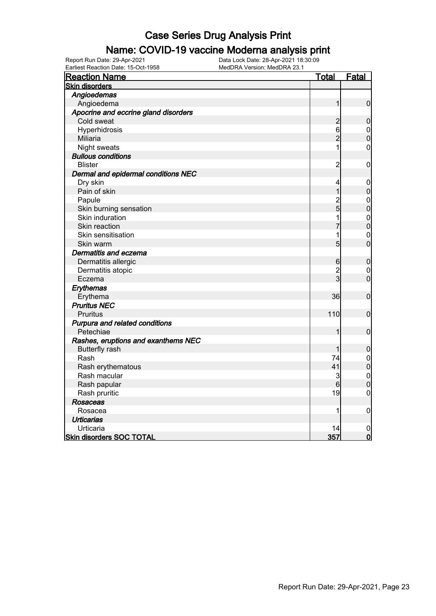#### Name: COVID-19 vaccine Moderna analysis print

| Earliest Reaction Date: 15-Oct-1958  | MedDRA Version: MedDRA 23.1 |                                      |
|--------------------------------------|-----------------------------|--------------------------------------|
| <b>Reaction Name</b>                 | <u>Total</u>                | <b>Fatal</b>                         |
| <b>Skin disorders</b>                |                             |                                      |
| Angioedemas                          |                             |                                      |
| Angioedema                           | 1                           | $\mathbf 0$                          |
| Apocrine and eccrine gland disorders |                             |                                      |
| Cold sweat                           | $\overline{c}$              | $\overline{0}$                       |
| Hyperhidrosis                        | 6                           | $\boldsymbol{0}$                     |
| <b>Miliaria</b>                      | $\overline{2}$              | $\overline{0}$                       |
| Night sweats                         | 1                           | $\overline{0}$                       |
| <b>Bullous conditions</b>            |                             |                                      |
| <b>Blister</b>                       | $\overline{c}$              | $\boldsymbol{0}$                     |
| Dermal and epidermal conditions NEC  |                             |                                      |
| Dry skin                             | 4                           | $\boldsymbol{0}$                     |
| Pain of skin                         | $\mathbf{1}$                | $\mathbf 0$                          |
| Papule                               |                             |                                      |
| Skin burning sensation               | $\frac{2}{5}$               | $\begin{matrix} 0 \\ 0 \end{matrix}$ |
| Skin induration                      | 1                           | $\mathbf{0}$                         |
| Skin reaction                        | 7                           | $\overline{0}$                       |
| Skin sensitisation                   | 1                           | $\mathbf 0$                          |
| Skin warm                            | 5                           | $\overline{0}$                       |
| Dermatitis and eczema                |                             |                                      |
| Dermatitis allergic                  | $6 \overline{}$             | $\boldsymbol{0}$                     |
| Dermatitis atopic                    | $\overline{c}$              | $\mathbf 0$                          |
| Eczema                               | 3                           | $\overline{0}$                       |
| Erythemas                            |                             |                                      |
| Erythema                             | 36                          | $\mathbf 0$                          |
| <b>Pruritus NEC</b>                  |                             |                                      |
| Pruritus                             | 110                         | $\mathbf 0$                          |
| Purpura and related conditions       |                             |                                      |
| Petechiae                            | 1                           | $\boldsymbol{0}$                     |
| Rashes, eruptions and exanthems NEC  |                             |                                      |
| <b>Butterfly rash</b>                | 1                           | $\pmb{0}$                            |
| Rash                                 | 74                          |                                      |
| Rash erythematous                    | 41                          | $\begin{matrix}0\\0\end{matrix}$     |
| Rash macular                         | 3                           |                                      |
| Rash papular                         | 6                           | $\begin{matrix}0\\0\end{matrix}$     |
| Rash pruritic                        | 19                          | $\overline{0}$                       |
| <b>Rosaceas</b>                      |                             |                                      |
| Rosacea                              | 1                           | $\mathbf 0$                          |
| <b>Urticarias</b>                    |                             |                                      |
| Urticaria                            | 14                          | $\mathbf 0$                          |
| <b>Skin disorders SOC TOTAL</b>      | 357                         | $\overline{0}$                       |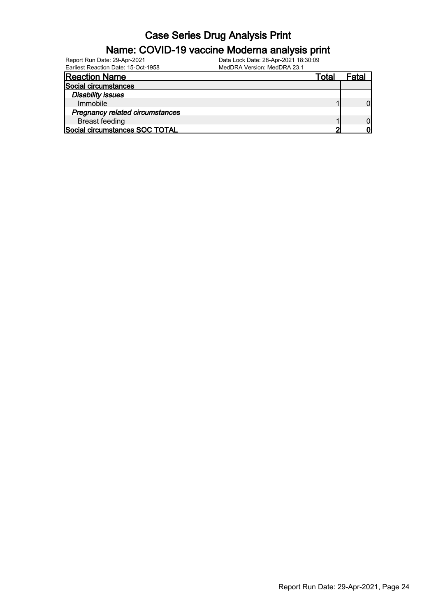| Report Run Date: 29-Apr-2021<br>Earliest Reaction Date: 15-Oct-1958 | Data Lock Date: 28-Apr-2021 18:30:09<br>MedDRA Version: MedDRA 23.1 |       |       |
|---------------------------------------------------------------------|---------------------------------------------------------------------|-------|-------|
| <b>Reaction Name</b>                                                |                                                                     | Total | Fatal |
| Social circumstances                                                |                                                                     |       |       |
| <b>Disability issues</b>                                            |                                                                     |       |       |
| Immobile                                                            |                                                                     |       |       |
| <b>Pregnancy related circumstances</b>                              |                                                                     |       |       |
| <b>Breast feeding</b>                                               |                                                                     |       |       |
| Social circumstances SOC TOTAL                                      |                                                                     |       |       |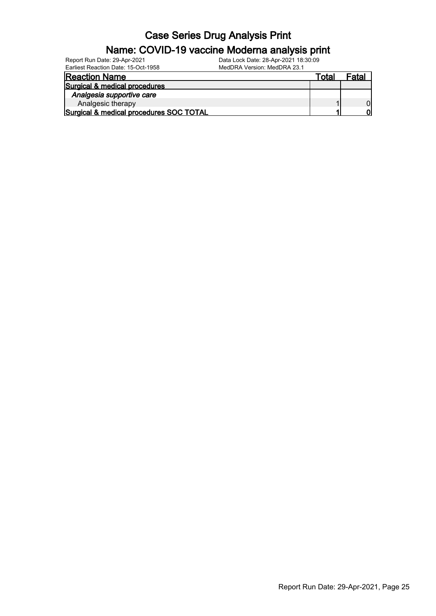| Report Run Date: 29-Apr-2021            | Data Lock Date: 28-Apr-2021 18:30:09 |       |       |
|-----------------------------------------|--------------------------------------|-------|-------|
| Earliest Reaction Date: 15-Oct-1958     | MedDRA Version: MedDRA 23.1          |       |       |
| <b>Reaction Name</b>                    |                                      | Total | Fatal |
| Surgical & medical procedures           |                                      |       |       |
| Analgesia supportive care               |                                      |       |       |
| Analgesic therapy                       |                                      |       |       |
| Surgical & medical procedures SOC TOTAL |                                      |       | Λl    |